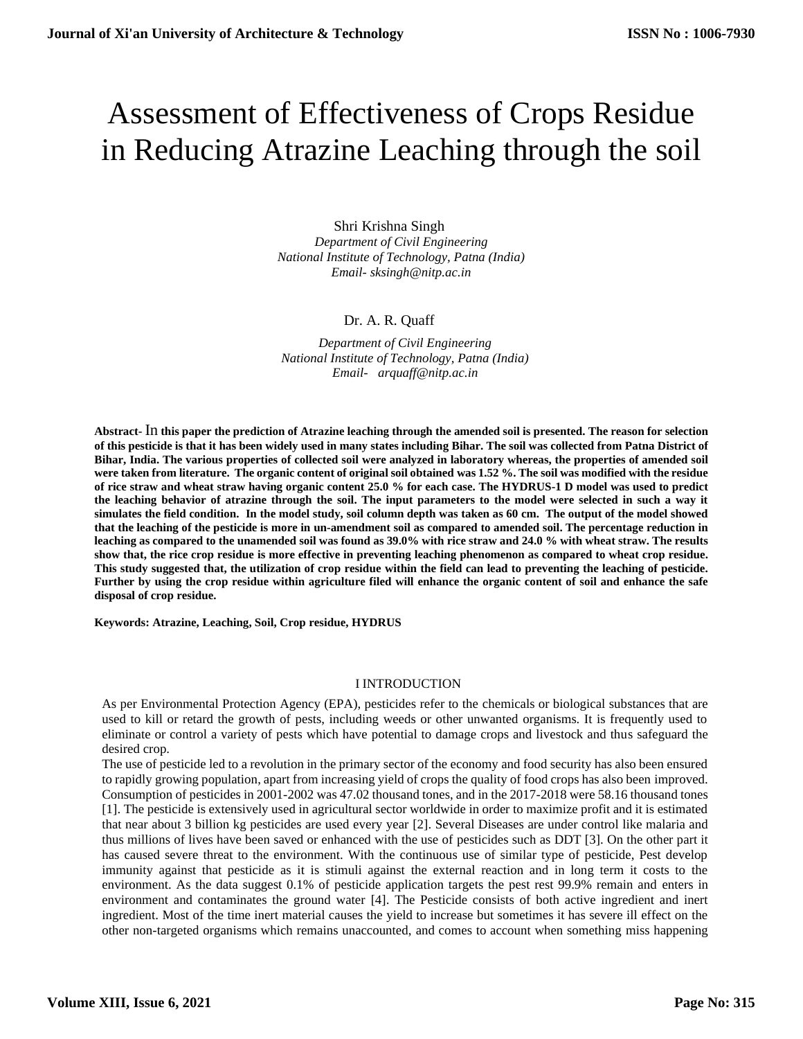# Assessment of Effectiveness of Crops Residue in Reducing Atrazine Leaching through the soil

Shri Krishna Singh *Department of Civil Engineering National Institute of Technology, Patna (India) Email- sksingh@nitp.ac.in*

## Dr. A. R. Quaff

*Department of Civil Engineering National Institute of Technology, Patna (India) Email- arquaff@nitp.ac.in*

**Abstract-** In **this paper the prediction of Atrazine leaching through the amended soil is presented. The reason for selection of this pesticide is that it has been widely used in many states including Bihar. The soil was collected from Patna District of Bihar, India. The various properties of collected soil were analyzed in laboratory whereas, the properties of amended soil were taken from literature. The organic content of original soil obtained was 1.52 %. The soil was modified with the residue of rice straw and wheat straw having organic content 25.0 % for each case. The HYDRUS-1 D model was used to predict the leaching behavior of atrazine through the soil. The input parameters to the model were selected in such a way it simulates the field condition. In the model study, soil column depth was taken as 60 cm. The output of the model showed that the leaching of the pesticide is more in un-amendment soil as compared to amended soil. The percentage reduction in leaching as compared to the unamended soil was found as 39.0% with rice straw and 24.0 % with wheat straw. The results show that, the rice crop residue is more effective in preventing leaching phenomenon as compared to wheat crop residue. This study suggested that, the utilization of crop residue within the field can lead to preventing the leaching of pesticide. Further by using the crop residue within agriculture filed will enhance the organic content of soil and enhance the safe disposal of crop residue.**

**Keywords: Atrazine, Leaching, Soil, Crop residue, HYDRUS**

#### I INTRODUCTION

As per Environmental Protection Agency (EPA), pesticides refer to the chemicals or biological substances that are used to kill or retard the growth of pests, including weeds or other unwanted organisms. It is frequently used to eliminate or control a variety of pests which have potential to damage crops and livestock and thus safeguard the desired crop.

The use of pesticide led to a revolution in the primary sector of the economy and food security has also been ensured to rapidly growing population, apart from increasing yield of crops the quality of food crops has also been improved. Consumption of pesticides in 2001-2002 was 47.02 thousand tones, and in the 2017-2018 were 58.16 thousand tones [1]. The pesticide is extensively used in agricultural sector worldwide in order to maximize profit and it is estimated that near about 3 billion kg pesticides are used every year [2]. Several Diseases are under control like malaria and thus millions of lives have been saved or enhanced with the use of pesticides such as DDT [3]. On the other part it has caused severe threat to the environment. With the continuous use of similar type of pesticide, Pest develop immunity against that pesticide as it is stimuli against the external reaction and in long term it costs to the environment. As the data suggest 0.1% of pesticide application targets the pest rest 99.9% remain and enters in environment and contaminates the ground water [4]. The Pesticide consists of both active ingredient and inert ingredient. Most of the time inert material causes the yield to increase but sometimes it has severe ill effect on the other non-targeted organisms which remains unaccounted, and comes to account when something miss happening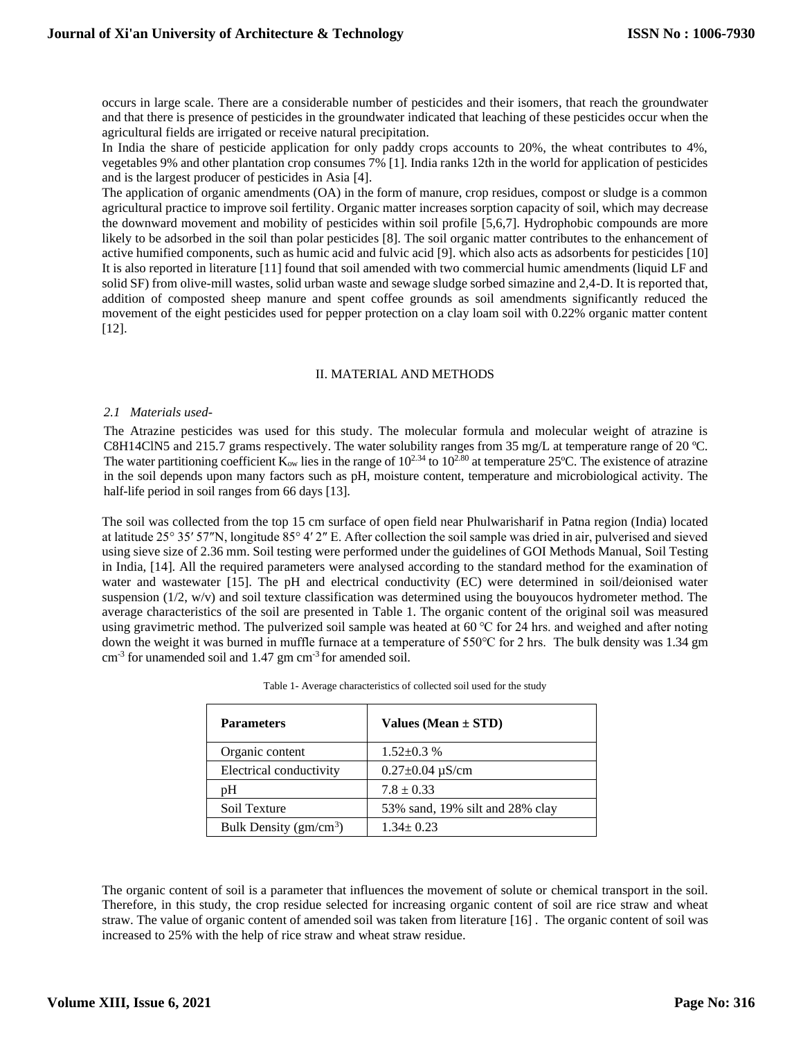occurs in large scale. There are a considerable number of pesticides and their isomers, that reach the groundwater and that there is presence of pesticides in the groundwater indicated that leaching of these pesticides occur when the agricultural fields are irrigated or receive natural precipitation.

In India the share of pesticide application for only paddy crops accounts to 20%, the wheat contributes to 4%, vegetables 9% and other plantation crop consumes 7% [1]. India ranks 12th in the world for application of pesticides and is the largest producer of pesticides in Asia [4].

The application of organic amendments (OA) in the form of manure, crop residues, compost or sludge is a common agricultural practice to improve soil fertility. Organic matter increases sorption capacity of soil, which may decrease the downward movement and mobility of pesticides within soil profile [5,6,7]. Hydrophobic compounds are more likely to be adsorbed in the soil than polar pesticides [8]. The soil organic matter contributes to the enhancement of active humified components, such as humic acid and fulvic acid [9]. which also acts as adsorbents for pesticides [10] It is also reported in literature [11] found that soil amended with two commercial humic amendments (liquid LF and solid SF) from olive-mill wastes, solid urban waste and sewage sludge sorbed simazine and 2,4-D. It is reported that, addition of composted sheep manure and spent coffee grounds as soil amendments significantly reduced the movement of the eight pesticides used for pepper protection on a clay loam soil with 0.22% organic matter content [12].

#### II. MATERIAL AND METHODS

#### *2.1 Materials used-*

The Atrazine pesticides was used for this study. The molecular formula and molecular weight of atrazine is C8H14ClN5 and 215.7 grams respectively. The water solubility ranges from 35 mg/L at temperature range of 20 ºC. The water partitioning coefficient  $K_{ow}$  lies in the range of  $10^{2.34}$  to  $10^{2.80}$  at temperature 25°C. The existence of atrazine in the soil depends upon many factors such as pH, moisture content, temperature and microbiological activity. The half-life period in soil ranges from 66 days [13].

The soil was collected from the top 15 cm surface of open field near Phulwarisharif in Patna region (India) located at latitude 25° 35′ 57″N, longitude 85° 4′ 2″ E. After collection the soil sample was dried in air, pulverised and sieved using sieve size of 2.36 mm. Soil testing were performed under the guidelines of GOI Methods Manual, Soil Testing in India, [14]. All the required parameters were analysed according to the standard method for the examination of water and wastewater [15]. The pH and electrical conductivity (EC) were determined in soil/deionised water suspension (1/2, w/v) and soil texture classification was determined using the bouyoucos hydrometer method. The average characteristics of the soil are presented in Table 1. The organic content of the original soil was measured using gravimetric method. The pulverized soil sample was heated at 60 ℃ for 24 hrs. and weighed and after noting down the weight it was burned in muffle furnace at a temperature of 550℃ for 2 hrs. The bulk density was 1.34 gm cm<sup>-3</sup> for unamended soil and 1.47 gm cm<sup>-3</sup> for amended soil.

| <b>Parameters</b>       | Values (Mean $\pm$ STD)          |
|-------------------------|----------------------------------|
| Organic content         | $1.52 + 0.3$ %                   |
| Electrical conductivity | $0.27 \pm 0.04 \,\mu\text{S/cm}$ |
| pH                      | $7.8 \pm 0.33$                   |
| Soil Texture            | 53% sand, 19% silt and 28% clay  |
| Bulk Density $(gm/cm3)$ | $1.34 \pm 0.23$                  |

| Table 1- Average characteristics of collected soil used for the study |  |
|-----------------------------------------------------------------------|--|
|-----------------------------------------------------------------------|--|

The organic content of soil is a parameter that influences the movement of solute or chemical transport in the soil. Therefore, in this study, the crop residue selected for increasing organic content of soil are rice straw and wheat straw. The value of organic content of amended soil was taken from literature [16] . The organic content of soil was increased to 25% with the help of rice straw and wheat straw residue.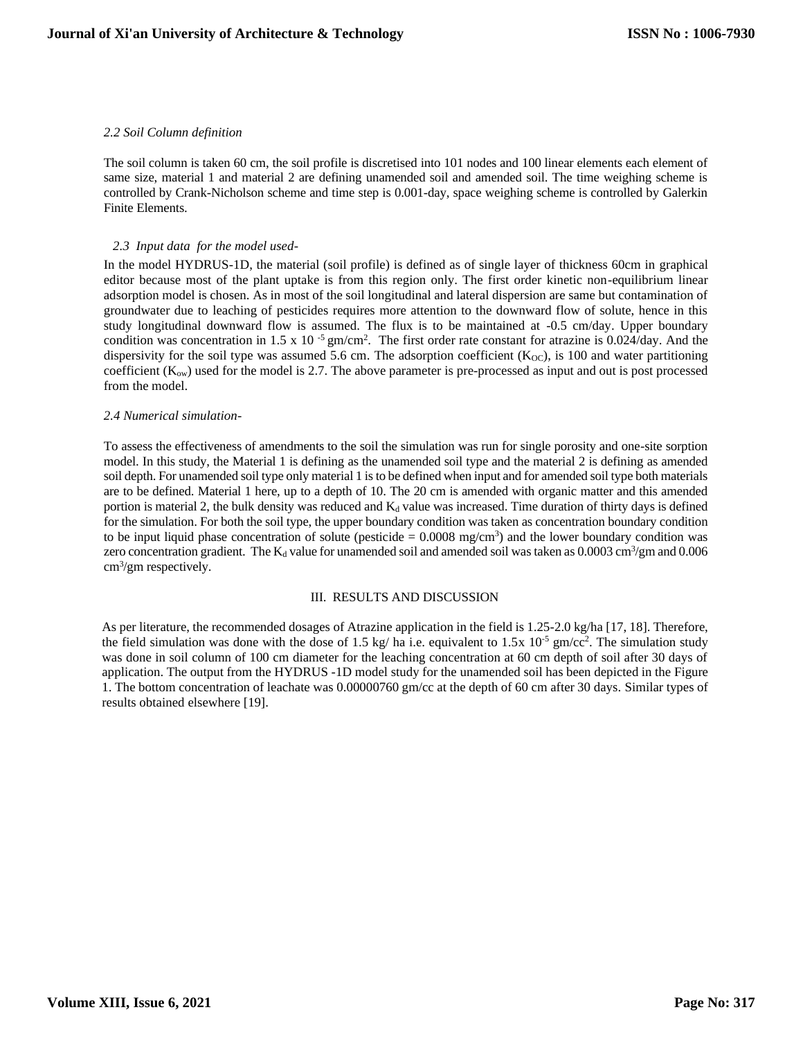## *2.2 Soil Column definition*

The soil column is taken 60 cm, the soil profile is discretised into 101 nodes and 100 linear elements each element of same size, material 1 and material 2 are defining unamended soil and amended soil. The time weighing scheme is controlled by Crank-Nicholson scheme and time step is 0.001-day, space weighing scheme is controlled by Galerkin Finite Elements.

## *2.3 Input data for the model used-*

In the model HYDRUS-1D, the material (soil profile) is defined as of single layer of thickness 60cm in graphical editor because most of the plant uptake is from this region only. The first order kinetic non-equilibrium linear adsorption model is chosen. As in most of the soil longitudinal and lateral dispersion are same but contamination of groundwater due to leaching of pesticides requires more attention to the downward flow of solute, hence in this study longitudinal downward flow is assumed. The flux is to be maintained at -0.5 cm/day. Upper boundary condition was concentration in 1.5 x 10<sup>-5</sup> gm/cm<sup>2</sup>. The first order rate constant for atrazine is 0.024/day. And the dispersivity for the soil type was assumed 5.6 cm. The adsorption coefficient  $(K_{\text{OC}})$ , is 100 and water partitioning coefficient  $(K_{\text{ow}})$  used for the model is 2.7. The above parameter is pre-processed as input and out is post processed from the model.

## *2.4 Numerical simulation-*

To assess the effectiveness of amendments to the soil the simulation was run for single porosity and one-site sorption model. In this study, the Material 1 is defining as the unamended soil type and the material 2 is defining as amended soil depth. For unamended soil type only material 1 is to be defined when input and for amended soil type both materials are to be defined. Material 1 here, up to a depth of 10. The 20 cm is amended with organic matter and this amended portion is material 2, the bulk density was reduced and  $K_d$  value was increased. Time duration of thirty days is defined for the simulation. For both the soil type, the upper boundary condition was taken as concentration boundary condition to be input liquid phase concentration of solute (pesticide  $= 0.0008$  mg/cm<sup>3</sup>) and the lower boundary condition was zero concentration gradient. The  $K_d$  value for unamended soil and amended soil was taken as 0.0003 cm<sup>3</sup>/gm and 0.006 cm<sup>3</sup>/gm respectively.

#### III. RESULTS AND DISCUSSION

As per literature, the recommended dosages of Atrazine application in the field is 1.25-2.0 kg/ha [17, 18]. Therefore, the field simulation was done with the dose of 1.5 kg/ ha i.e. equivalent to  $1.5x$  10<sup>-5</sup> gm/cc<sup>2</sup>. The simulation study was done in soil column of 100 cm diameter for the leaching concentration at 60 cm depth of soil after 30 days of application. The output from the HYDRUS -1D model study for the unamended soil has been depicted in the Figure 1. The bottom concentration of leachate was 0.00000760 gm/cc at the depth of 60 cm after 30 days. Similar types of results obtained elsewhere [19].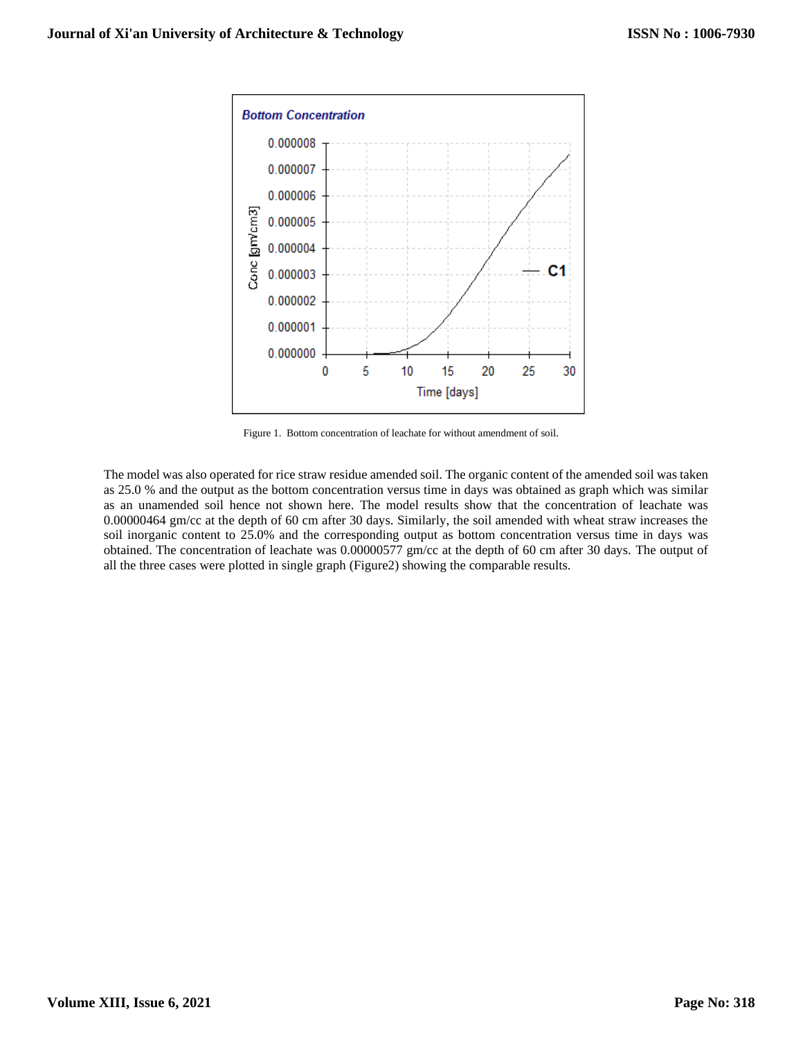

Figure 1. Bottom concentration of leachate for without amendment of soil.

The model was also operated for rice straw residue amended soil. The organic content of the amended soil was taken as 25.0 % and the output as the bottom concentration versus time in days was obtained as graph which was similar as an unamended soil hence not shown here. The model results show that the concentration of leachate was 0.00000464 gm/cc at the depth of 60 cm after 30 days. Similarly, the soil amended with wheat straw increases the soil inorganic content to 25.0% and the corresponding output as bottom concentration versus time in days was obtained. The concentration of leachate was 0.00000577 gm/cc at the depth of 60 cm after 30 days. The output of all the three cases were plotted in single graph (Figure2) showing the comparable results.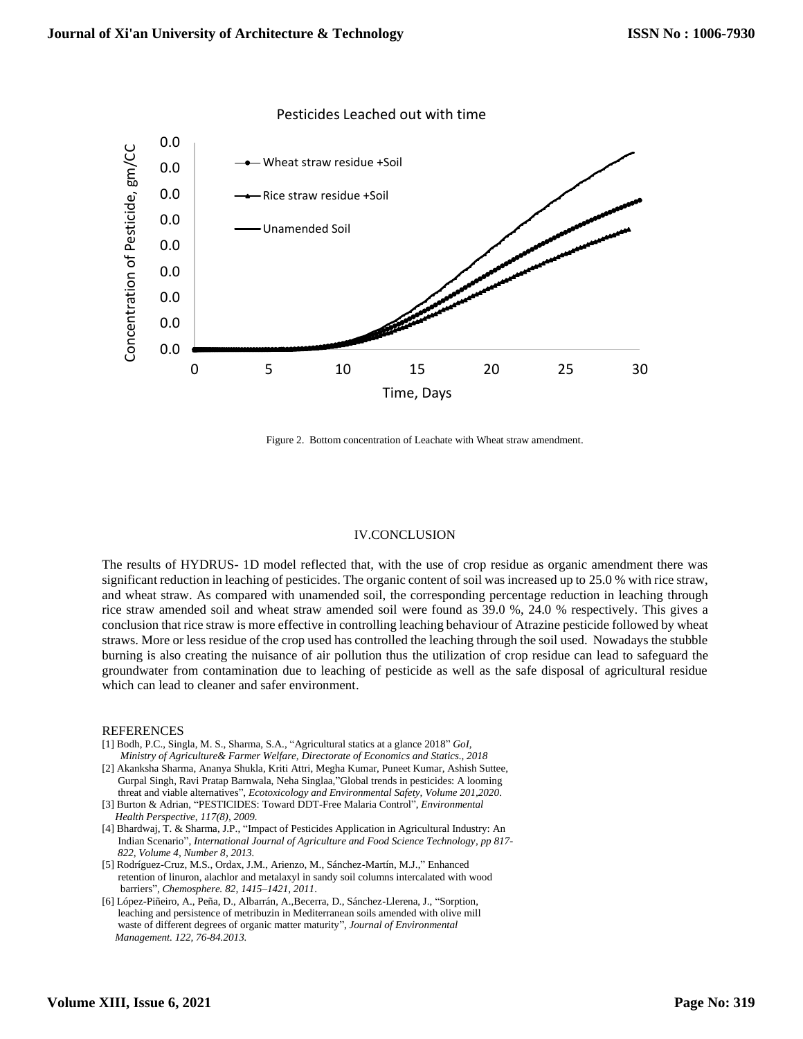

Figure 2. Bottom concentration of Leachate with Wheat straw amendment.

#### IV.CONCLUSION

The results of HYDRUS- 1D model reflected that, with the use of crop residue as organic amendment there was significant reduction in leaching of pesticides. The organic content of soil was increased up to 25.0 % with rice straw, and wheat straw. As compared with unamended soil, the corresponding percentage reduction in leaching through rice straw amended soil and wheat straw amended soil were found as 39.0 %, 24.0 % respectively. This gives a conclusion that rice straw is more effective in controlling leaching behaviour of Atrazine pesticide followed by wheat straws. More or less residue of the crop used has controlled the leaching through the soil used. Nowadays the stubble burning is also creating the nuisance of air pollution thus the utilization of crop residue can lead to safeguard the groundwater from contamination due to leaching of pesticide as well as the safe disposal of agricultural residue which can lead to cleaner and safer environment.

#### REFERENCES

- [1] Bodh, P.C., Singla, M. S., Sharma, S.A., "Agricultural statics at a glance 2018" *GoI, Ministry of Agriculture& Farmer Welfare, Directorate of Economics and Statics., 2018*
- [2] Akanksha Sharma, Ananya Shukla, Kriti Attri, Megha Kumar, Puneet Kumar, Ashish Suttee, Gurpal Singh, Ravi Pratap Barnwala, Neha Singlaa,"Global trends in pesticides: A looming threat and viable alternatives", *Ecotoxicology and Environmental Safety, Volume 201,2020*.
- [3] Burton & Adrian, "PESTICIDES: Toward DDT-Free Malaria Control", *Environmental Health Perspective, 117(8), 2009.*
- [4] Bhardwaj, T. & Sharma, J.P., "Impact of Pesticides Application in Agricultural Industry: An Indian Scenario", *International Journal of Agriculture and Food Science Technology, pp 817- 822, Volume 4, Number 8, 2013.*
- [5] Rodríguez-Cruz, M.S., Ordax, J.M., Arienzo, M., Sánchez-Martín, M.J.," Enhanced retention of linuron, alachlor and metalaxyl in sandy soil columns intercalated with wood barriers", *Chemosphere. 82, 1415–1421, 2011*.
- [6] López-Piñeiro, A., Peña, D., Albarrán, A.,Becerra, D., Sánchez-Llerena, J., "Sorption, leaching and persistence of metribuzin in Mediterranean soils amended with olive mill waste of different degrees of organic matter maturity", *Journal of Environmental Management. 122, 76-84.2013.*